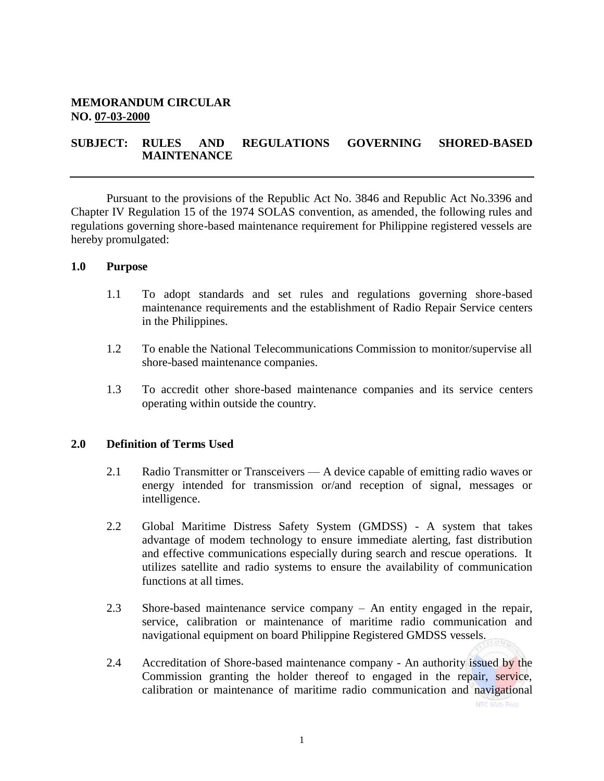## **MEMORANDUM CIRCULAR NO. 07-03-2000**

## **SUBJECT: RULES AND REGULATIONS GOVERNING SHORED-BASED MAINTENANCE**

Pursuant to the provisions of the Republic Act No. 3846 and Republic Act No.3396 and Chapter IV Regulation 15 of the 1974 SOLAS convention, as amended, the following rules and regulations governing shore-based maintenance requirement for Philippine registered vessels are hereby promulgated:

#### **1.0 Purpose**

- 1.1 To adopt standards and set rules and regulations governing shore-based maintenance requirements and the establishment of Radio Repair Service centers in the Philippines.
- 1.2 To enable the National Telecommunications Commission to monitor/supervise all shore-based maintenance companies.
- 1.3 To accredit other shore-based maintenance companies and its service centers operating within outside the country.

#### **2.0 Definition of Terms Used**

- 2.1 Radio Transmitter or Transceivers A device capable of emitting radio waves or energy intended for transmission or/and reception of signal, messages or intelligence.
- 2.2 Global Maritime Distress Safety System (GMDSS) A system that takes advantage of modem technology to ensure immediate alerting, fast distribution and effective communications especially during search and rescue operations. It utilizes satellite and radio systems to ensure the availability of communication functions at all times.
- 2.3 Shore-based maintenance service company An entity engaged in the repair, service, calibration or maintenance of maritime radio communication and navigational equipment on board Philippine Registered GMDSS vessels.
- 2.4 Accreditation of Shore-based maintenance company An authority issued by the Commission granting the holder thereof to engaged in the repair, service, calibration or maintenance of maritime radio communication and navigational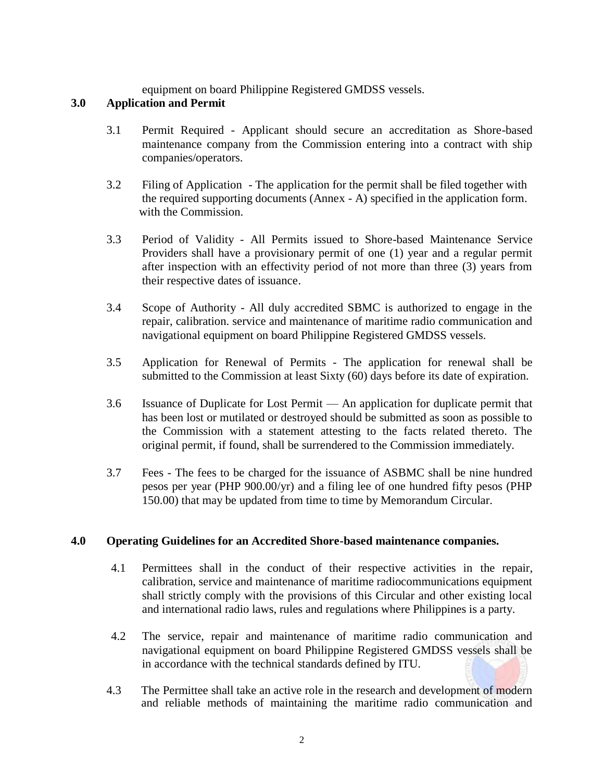equipment on board Philippine Registered GMDSS vessels.

# **3.0 Application and Permit**

- 3.1 Permit Required Applicant should secure an accreditation as Shore-based maintenance company from the Commission entering into a contract with ship companies/operators.
- 3.2 Filing of Application The application for the permit shall be filed together with the required supporting documents (Annex - A) specified in the application form. with the Commission.
- 3.3 Period of Validity All Permits issued to Shore-based Maintenance Service Providers shall have a provisionary permit of one (1) year and a regular permit after inspection with an effectivity period of not more than three (3) years from their respective dates of issuance.
- 3.4 Scope of Authority All duly accredited SBMC is authorized to engage in the repair, calibration. service and maintenance of maritime radio communication and navigational equipment on board Philippine Registered GMDSS vessels.
- 3.5 Application for Renewal of Permits The application for renewal shall be submitted to the Commission at least Sixty (60) days before its date of expiration.
- 3.6 Issuance of Duplicate for Lost Permit An application for duplicate permit that has been lost or mutilated or destroyed should be submitted as soon as possible to the Commission with a statement attesting to the facts related thereto. The original permit, if found, shall be surrendered to the Commission immediately.
- 3.7 Fees The fees to be charged for the issuance of ASBMC shall be nine hundred pesos per year (PHP 900.00/yr) and a filing lee of one hundred fifty pesos (PHP 150.00) that may be updated from time to time by Memorandum Circular.

## **4.0 Operating Guidelines for an Accredited Shore-based maintenance companies.**

- 4.1 Permittees shall in the conduct of their respective activities in the repair, calibration, service and maintenance of maritime radiocommunications equipment shall strictly comply with the provisions of this Circular and other existing local and international radio laws, rules and regulations where Philippines is a party.
- 4.2 The service, repair and maintenance of maritime radio communication and navigational equipment on board Philippine Registered GMDSS vessels shall be in accordance with the technical standards defined by ITU.
- 4.3 The Permittee shall take an active role in the research and development of modern and reliable methods of maintaining the maritime radio communication and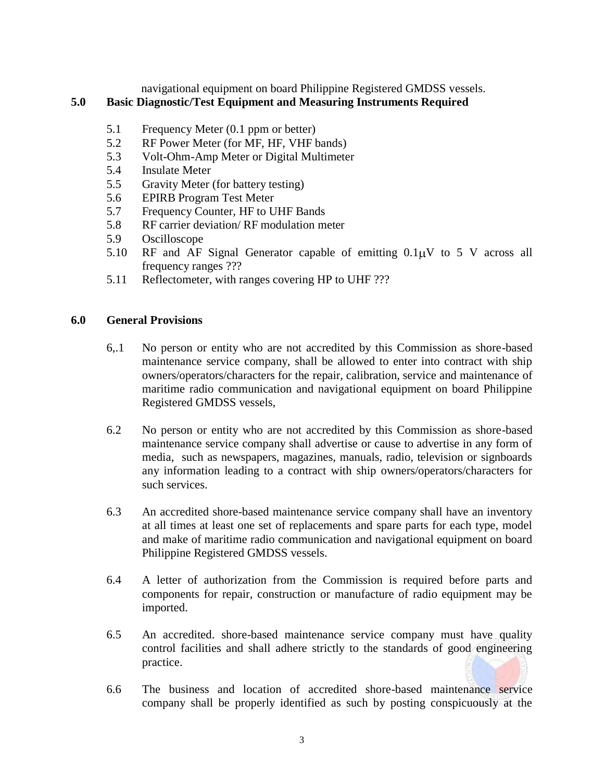navigational equipment on board Philippine Registered GMDSS vessels.

# **5.0 Basic Diagnostic/Test Equipment and Measuring Instruments Required**

- 5.1 Frequency Meter (0.1 ppm or better)
- 5.2 RF Power Meter (for MF, HF, VHF bands)
- 5.3 Volt-Ohm-Amp Meter or Digital Multimeter
- 5.4 Insulate Meter
- 5.5 Gravity Meter (for battery testing)
- 5.6 EPIRB Program Test Meter
- 5.7 Frequency Counter, HF to UHF Bands
- 5.8 RF carrier deviation/ RF modulation meter
- 5.9 Oscilloscope
- 5.10 RF and AF Signal Generator capable of emitting  $0.1\mu$ V to 5 V across all frequency ranges ???
- 5.11 Reflectometer, with ranges covering HP to UHF ???

## **6.0 General Provisions**

- 6,.1 No person or entity who are not accredited by this Commission as shore-based maintenance service company, shall be allowed to enter into contract with ship owners/operators/characters for the repair, calibration, service and maintenance of maritime radio communication and navigational equipment on board Philippine Registered GMDSS vessels,
- 6.2 No person or entity who are not accredited by this Commission as shore-based maintenance service company shall advertise or cause to advertise in any form of media, such as newspapers, magazines, manuals, radio, television or signboards any information leading to a contract with ship owners/operators/characters for such services.
- 6.3 An accredited shore-based maintenance service company shall have an inventory at all times at least one set of replacements and spare parts for each type, model and make of maritime radio communication and navigational equipment on board Philippine Registered GMDSS vessels.
- 6.4 A letter of authorization from the Commission is required before parts and components for repair, construction or manufacture of radio equipment may be imported.
- 6.5 An accredited. shore-based maintenance service company must have quality control facilities and shall adhere strictly to the standards of good engineering practice.
- 6.6 The business and location of accredited shore-based maintenance service company shall be properly identified as such by posting conspicuously at the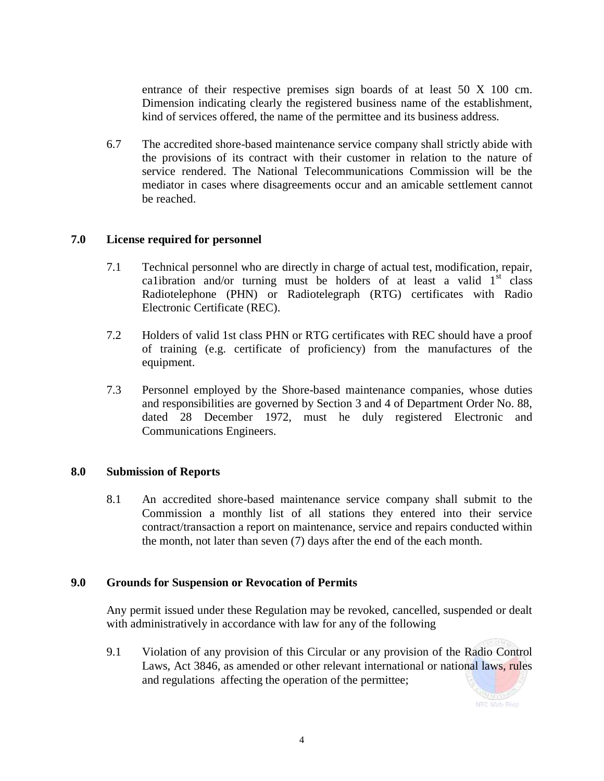entrance of their respective premises sign boards of at least 50 X 100 cm. Dimension indicating clearly the registered business name of the establishment, kind of services offered, the name of the permittee and its business address.

6.7 The accredited shore-based maintenance service company shall strictly abide with the provisions of its contract with their customer in relation to the nature of service rendered. The National Telecommunications Commission will be the mediator in cases where disagreements occur and an amicable settlement cannot be reached.

## **7.0 License required for personnel**

- 7.1 Technical personnel who are directly in charge of actual test, modification, repair, ca1ibration and/or turning must be holders of at least a valid  $1<sup>st</sup>$  class Radiotelephone (PHN) or Radiotelegraph (RTG) certificates with Radio Electronic Certificate (REC).
- 7.2 Holders of valid 1st class PHN or RTG certificates with REC should have a proof of training (e.g. certificate of proficiency) from the manufactures of the equipment.
- 7.3 Personnel employed by the Shore-based maintenance companies, whose duties and responsibilities are governed by Section 3 and 4 of Department Order No. 88, dated 28 December 1972, must he duly registered Electronic and Communications Engineers.

## **8.0 Submission of Reports**

8.1 An accredited shore-based maintenance service company shall submit to the Commission a monthly list of all stations they entered into their service contract/transaction a report on maintenance, service and repairs conducted within the month, not later than seven (7) days after the end of the each month.

## **9.0 Grounds for Suspension or Revocation of Permits**

Any permit issued under these Regulation may be revoked, cancelled, suspended or dealt with administratively in accordance with law for any of the following

9.1 Violation of any provision of this Circular or any provision of the Radio Control Laws, Act 3846, as amended or other relevant international or national laws, rules and regulations affecting the operation of the permittee;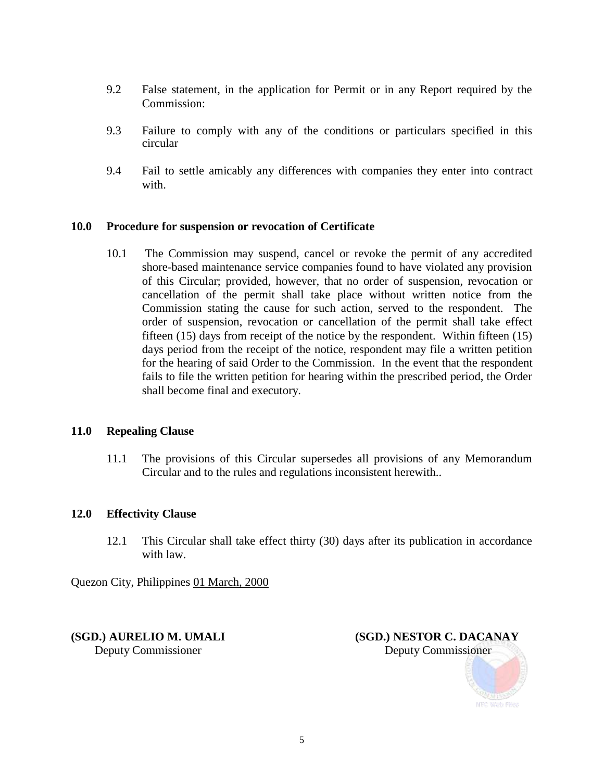- 9.2 False statement, in the application for Permit or in any Report required by the Commission:
- 9.3 Failure to comply with any of the conditions or particulars specified in this circular
- 9.4 Fail to settle amicably any differences with companies they enter into contract with.

## **10.0 Procedure for suspension or revocation of Certificate**

10.1 The Commission may suspend, cancel or revoke the permit of any accredited shore-based maintenance service companies found to have violated any provision of this Circular; provided, however, that no order of suspension, revocation or cancellation of the permit shall take place without written notice from the Commission stating the cause for such action, served to the respondent. The order of suspension, revocation or cancellation of the permit shall take effect fifteen (15) days from receipt of the notice by the respondent. Within fifteen (15) days period from the receipt of the notice, respondent may file a written petition for the hearing of said Order to the Commission. In the event that the respondent fails to file the written petition for hearing within the prescribed period, the Order shall become final and executory.

## **11.0 Repealing Clause**

11.1 The provisions of this Circular supersedes all provisions of any Memorandum Circular and to the rules and regulations inconsistent herewith..

#### **12.0 Effectivity Clause**

12.1 This Circular shall take effect thirty (30) days after its publication in accordance with law.

Quezon City, Philippines 01 March, 2000